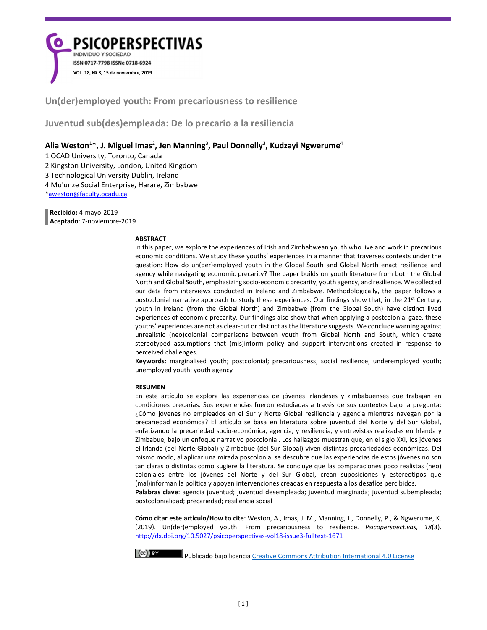**PSICOPERSPECTIVAS INDIVIDUO Y SOCIEDAD** ISSN 0717-7798 ISSNe 0718-6924 VOL. 18, Nº 3, 15 de noviembre, 2019

**Un(der)employed youth: From precariousness to resilience**

**Juventud sub(des)empleada: De lo precario a la resiliencia**

**Alia Weston**<sup>1</sup> \*, **J. Miguel Imas**<sup>2</sup> **, Jen Manning**<sup>3</sup> **, Paul Donnelly**<sup>3</sup> **, Kudzayi Ngwerume**<sup>4</sup>

1 OCAD University, Toronto, Canada 2 Kingston University, London, United Kingdom 3 Technological University Dublin, Ireland

4 Mu'unze Social Enterprise, Harare, Zimbabwe

[\\*aweston@faculty.ocadu.ca](mailto:aweston@faculty.ocadu.ca)

 **Recibido:** 4-mayo-2019  **Aceptado**: 7-noviembre-2019

#### **ABSTRACT**

In this paper, we explore the experiences of Irish and Zimbabwean youth who live and work in precarious economic conditions. We study these youths' experiences in a manner that traverses contexts under the question: How do un(der)employed youth in the Global South and Global North enact resilience and agency while navigating economic precarity? The paper builds on youth literature from both the Global North and Global South, emphasizing socio-economic precarity, youth agency, and resilience. We collected our data from interviews conducted in Ireland and Zimbabwe. Methodologically, the paper follows a postcolonial narrative approach to study these experiences. Our findings show that, in the  $21^{st}$  Century, youth in Ireland (from the Global North) and Zimbabwe (from the Global South) have distinct lived experiences of economic precarity. Our findings also show that when applying a postcolonial gaze, these youths' experiences are not as clear-cut or distinct as the literature suggests. We conclude warning against unrealistic (neo)colonial comparisons between youth from Global North and South, which create stereotyped assumptions that (mis)inform policy and support interventions created in response to perceived challenges.

**Keywords**: marginalised youth; postcolonial; precariousness; social resilience; underemployed youth; unemployed youth; youth agency

### **RESUMEN**

En este artículo se explora las experiencias de jóvenes irlandeses y zimbabuenses que trabajan en condiciones precarias. Sus experiencias fueron estudiadas a través de sus contextos bajo la pregunta: ¿Cómo jóvenes no empleados en el Sur y Norte Global resiliencia y agencia mientras navegan por la precariedad económica? El artículo se basa en literatura sobre juventud del Norte y del Sur Global, enfatizando la precariedad socio-económica, agencia, y resiliencia, y entrevistas realizadas en Irlanda y Zimbabue, bajo un enfoque narrativo poscolonial. Los hallazgos muestran que, en el siglo XXI, los jóvenes el Irlanda (del Norte Global) y Zimbabue (del Sur Global) viven distintas precariedades económicas. Del mismo modo, al aplicar una mirada poscolonial se descubre que las experiencias de estos jóvenes no son tan claras o distintas como sugiere la literatura. Se concluye que las comparaciones poco realistas (neo) coloniales entre los jóvenes del Norte y del Sur Global, crean suposiciones y estereotipos que (mal)informan la política y apoyan intervenciones creadas en respuesta a los desafíos percibidos. **Palabras clave**: agencia juventud; juventud desempleada; juventud marginada; juventud subempleada;

postcolonialidad; precariedad; resiliencia social

**Cómo citar este artículo/How to cite**: Weston, A., Imas, J. M., Manning, J., Donnelly, P., & Ngwerume, K. (2019). Un(der)employed youth: From precariousness to resilience. *Psicoperspectivas, 18*(3). <http://dx.doi.org/10.5027/psicoperspectivas-vol18-issue3-fulltext-1671>

 $(\infty)$  by

Publicado bajo licenci[a Creative Commons Attribution International 4.0 License](https://creativecommons.org/licenses/by/4.0/legalcode.es)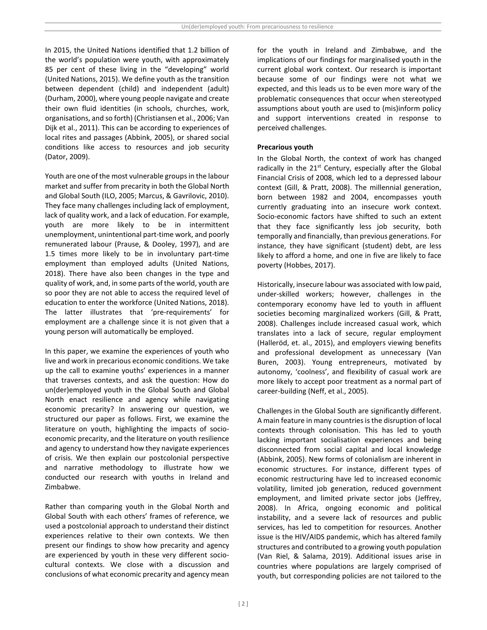In 2015, the United Nations identified that 1.2 billion of the world's population were youth, with approximately 85 per cent of these living in the "developing" world (United Nations, 2015). We define youth as the transition between dependent (child) and independent (adult) (Durham, 2000), where young people navigate and create their own fluid identities (in schools, churches, work, organisations, and so forth) (Christiansen et al., 2006; Van Dijk et al., 2011). This can be according to experiences of local rites and passages (Abbink, 2005), or shared social conditions like access to resources and job security (Dator, 2009).

Youth are one of the most vulnerable groups in the labour market and suffer from precarity in both the Global North and Global South (ILO, 2005; Marcus, & Gavrilovic, 2010). They face many challenges including lack of employment, lack of quality work, and a lack of education. For example, youth are more likely to be in intermittent unemployment, unintentional part-time work, and poorly remunerated labour (Prause, & Dooley, 1997), and are 1.5 times more likely to be in involuntary part-time employment than employed adults (United Nations, 2018). There have also been changes in the type and quality of work, and, in some parts of the world, youth are so poor they are not able to access the required level of education to enter the workforce (United Nations, 2018). The latter illustrates that 'pre-requirements' for employment are a challenge since it is not given that a young person will automatically be employed.

In this paper, we examine the experiences of youth who live and work in precarious economic conditions. We take up the call to examine youths' experiences in a manner that traverses contexts, and ask the question: How do un(der)employed youth in the Global South and Global North enact resilience and agency while navigating economic precarity? In answering our question, we structured our paper as follows. First, we examine the literature on youth, highlighting the impacts of socioeconomic precarity, and the literature on youth resilience and agency to understand how they navigate experiences of crisis. We then explain our postcolonial perspective and narrative methodology to illustrate how we conducted our research with youths in Ireland and Zimbabwe.

Rather than comparing youth in the Global North and Global South with each others' frames of reference, we used a postcolonial approach to understand their distinct experiences relative to their own contexts. We then present our findings to show how precarity and agency are experienced by youth in these very different sociocultural contexts. We close with a discussion and conclusions of what economic precarity and agency mean for the youth in Ireland and Zimbabwe, and the implications of our findings for marginalised youth in the current global work context. Our research is important because some of our findings were not what we expected, and this leads us to be even more wary of the problematic consequences that occur when stereotyped assumptions about youth are used to (mis)inform policy and support interventions created in response to perceived challenges.

### **Precarious youth**

In the Global North, the context of work has changed radically in the  $21^{st}$  Century, especially after the Global Financial Crisis of 2008, which led to a depressed labour context (Gill, & Pratt, 2008). The millennial generation, born between 1982 and 2004, encompasses youth currently graduating into an insecure work context. Socio-economic factors have shifted to such an extent that they face significantly less job security, both temporally and financially, than previous generations. For instance, they have significant (student) debt, are less likely to afford a home, and one in five are likely to face poverty (Hobbes, 2017).

Historically, insecure labour was associated with low paid, under-skilled workers; however, challenges in the contemporary economy have led to youth in affluent societies becoming marginalized workers (Gill, & Pratt, 2008). Challenges include increased casual work, which translates into a lack of secure, regular employment (Halleröd, et. al., 2015), and employers viewing benefits and professional development as unnecessary (Van Buren, 2003). Young entrepreneurs, motivated by autonomy, 'coolness', and flexibility of casual work are more likely to accept poor treatment as a normal part of career-building (Neff, et al., 2005).

Challenges in the Global South are significantly different. A main feature in many countries is the disruption of local contexts through colonisation. This has led to youth lacking important socialisation experiences and being disconnected from social capital and local knowledge (Abbink, 2005). New forms of colonialism are inherent in economic structures. For instance, different types of economic restructuring have led to increased economic volatility, limited job generation, reduced government employment, and limited private sector jobs (Jeffrey, 2008). In Africa, ongoing economic and political instability, and a severe lack of resources and public services, has led to competition for resources. Another issue is the HIV/AIDS pandemic, which has altered family structures and contributed to a growing youth population (Van Riel, & Salama, 2019). Additional issues arise in countries where populations are largely comprised of youth, but corresponding policies are not tailored to the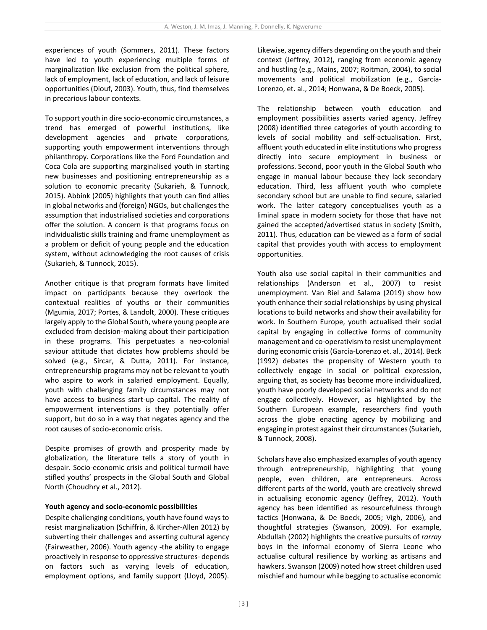experiences of youth (Sommers, 2011). These factors have led to youth experiencing multiple forms of marginalization like exclusion from the political sphere, lack of employment, lack of education, and lack of leisure opportunities (Diouf, 2003). Youth, thus, find themselves in precarious labour contexts.

To support youth in dire socio-economic circumstances, a trend has emerged of powerful institutions, like development agencies and private corporations, supporting youth empowerment interventions through philanthropy. Corporations like the Ford Foundation and Coca Cola are supporting marginalised youth in starting new businesses and positioning entrepreneurship as a solution to economic precarity (Sukarieh, & Tunnock, 2015). Abbink (2005) highlights that youth can find allies in global networks and (foreign) NGOs, but challenges the assumption that industrialised societies and corporations offer the solution. A concern is that programs focus on individualistic skills training and frame unemployment as a problem or deficit of young people and the education system, without acknowledging the root causes of crisis (Sukarieh, & Tunnock, 2015).

Another critique is that program formats have limited impact on participants because they overlook the contextual realities of youths or their communities (Mgumia, 2017; Portes, & Landolt, 2000). These critiques largely apply to the Global South, where young people are excluded from decision-making about their participation in these programs. This perpetuates a neo-colonial saviour attitude that dictates how problems should be solved (e.g., Sircar, & Dutta, 2011). For instance, entrepreneurship programs may not be relevant to youth who aspire to work in salaried employment. Equally, youth with challenging family circumstances may not have access to business start-up capital. The reality of empowerment interventions is they potentially offer support, but do so in a way that negates agency and the root causes of socio-economic crisis.

Despite promises of growth and prosperity made by globalization, the literature tells a story of youth in despair. Socio-economic crisis and political turmoil have stifled youths' prospects in the Global South and Global North (Choudhry et al., 2012).

### **Youth agency and socio-economic possibilities**

Despite challenging conditions, youth have found ways to resist marginalization (Schiffrin, & Kircher-Allen 2012) by subverting their challenges and asserting cultural agency (Fairweather, 2006). Youth agency -the ability to engage proactively in response to oppressive structures- depends on factors such as varying levels of education, employment options, and family support (Lloyd, 2005).

Likewise, agency differs depending on the youth and their context (Jeffrey, 2012), ranging from economic agency and hustling (e.g., Mains, 2007; Roitman, 2004), to social movements and political mobilization (e.g., García-Lorenzo, et. al., 2014; Honwana, & De Boeck, 2005).

The relationship between youth education and employment possibilities asserts varied agency. Jeffrey (2008) identified three categories of youth according to levels of social mobility and self-actualisation. First, affluent youth educated in elite institutions who progress directly into secure employment in business or professions. Second, poor youth in the Global South who engage in manual labour because they lack secondary education. Third, less affluent youth who complete secondary school but are unable to find secure, salaried work. The latter category conceptualises youth as a liminal space in modern society for those that have not gained the accepted/advertised status in society (Smith, 2011). Thus, education can be viewed as a form of social capital that provides youth with access to employment opportunities.

Youth also use social capital in their communities and relationships (Anderson et al., 2007) to resist unemployment. Van Riel and Salama (2019) show how youth enhance their social relationships by using physical locations to build networks and show their availability for work. In Southern Europe, youth actualised their social capital by engaging in collective forms of community management and co-operativism to resist unemployment during economic crisis(García-Lorenzo et. al., 2014). Beck (1992) debates the propensity of Western youth to collectively engage in social or political expression, arguing that, as society has become more individualized, youth have poorly developed social networks and do not engage collectively. However, as highlighted by the Southern European example, researchers find youth across the globe enacting agency by mobilizing and engaging in protest against their circumstances (Sukarieh, & Tunnock, 2008).

Scholars have also emphasized examples of youth agency through entrepreneurship, highlighting that young people, even children, are entrepreneurs. Across different parts of the world, youth are creatively shrewd in actualising economic agency (Jeffrey, 2012). Youth agency has been identified as resourcefulness through tactics (Honwana, & De Boeck, 2005; Vigh, 2006), and thoughtful strategies (Swanson, 2009). For example, Abdullah (2002) highlights the creative pursuits of *rarray* boys in the informal economy of Sierra Leone who actualise cultural resilience by working as artisans and hawkers. Swanson (2009) noted how street children used mischief and humour while begging to actualise economic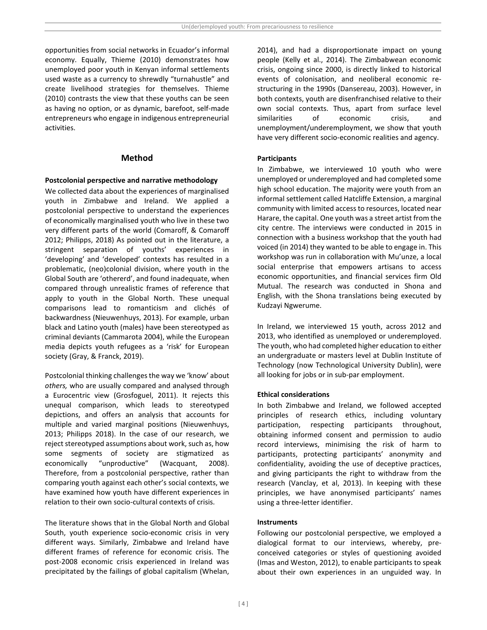opportunities from social networks in Ecuador's informal economy. Equally, Thieme (2010) demonstrates how unemployed poor youth in Kenyan informal settlements used waste as a currency to shrewdly "turnahustle" and create livelihood strategies for themselves. Thieme (2010) contrasts the view that these youths can be seen as having no option, or as dynamic, barefoot, self-made entrepreneurs who engage in indigenous entrepreneurial activities.

### **Method**

#### **Postcolonial perspective and narrative methodology**

We collected data about the experiences of marginalised youth in Zimbabwe and Ireland. We applied a postcolonial perspective to understand the experiences of economically marginalised youth who live in these two very different parts of the world (Comaroff, & Comaroff 2012; Philipps, 2018) As pointed out in the literature, a stringent separation of youths' experiences in 'developing' and 'developed' contexts has resulted in a problematic, (neo)colonial division, where youth in the Global South are 'othererd', and found inadequate, when compared through unrealistic frames of reference that apply to youth in the Global North. These unequal comparisons lead to romanticism and clichés of backwardness (Nieuwenhuys, 2013). For example, urban black and Latino youth (males) have been stereotyped as criminal deviants (Cammarota 2004), while the European media depicts youth refugees as a 'risk' for European society (Gray, & Franck, 2019).

Postcolonial thinking challenges the way we 'know' about *others,* who are usually compared and analysed through a Eurocentric view (Grosfoguel, 2011). It rejects this unequal comparison, which leads to stereotyped depictions, and offers an analysis that accounts for multiple and varied marginal positions (Nieuwenhuys, 2013; Philipps 2018). In the case of our research, we reject stereotyped assumptions about work, such as, how some segments of society are stigmatized as economically "unproductive" (Wacquant, 2008). Therefore, from a postcolonial perspective, rather than comparing youth against each other's social contexts, we have examined how youth have different experiences in relation to their own socio-cultural contexts of crisis.

The literature shows that in the Global North and Global South, youth experience socio-economic crisis in very different ways. Similarly, Zimbabwe and Ireland have different frames of reference for economic crisis. The post-2008 economic crisis experienced in Ireland was precipitated by the failings of global capitalism (Whelan,

2014), and had a disproportionate impact on young people (Kelly et al., 2014). The Zimbabwean economic crisis, ongoing since 2000, is directly linked to historical events of colonisation, and neoliberal economic restructuring in the 1990s (Dansereau, 2003). However, in both contexts, youth are disenfranchised relative to their own social contexts. Thus, apart from surface level similarities of economic crisis, and unemployment/underemployment, we show that youth have very different socio-economic realities and agency.

#### **Participants**

In Zimbabwe, we interviewed 10 youth who were unemployed or underemployed and had completed some high school education. The majority were youth from an informal settlement called Hatcliffe Extension, a marginal community with limited access to resources, located near Harare, the capital. One youth was a street artist from the city centre. The interviews were conducted in 2015 in connection with a business workshop that the youth had voiced (in 2014) they wanted to be able to engage in. This workshop was run in collaboration with Mu'unze, a local social enterprise that empowers artisans to access economic opportunities, and financial services firm Old Mutual. The research was conducted in Shona and English, with the Shona translations being executed by Kudzayi Ngwerume.

In Ireland, we interviewed 15 youth, across 2012 and 2013, who identified as unemployed or underemployed. The youth, who had completed higher education to either an undergraduate or masters level at Dublin Institute of Technology (now Technological University Dublin), were all looking for jobs or in sub-par employment.

### **Ethical considerations**

In both Zimbabwe and Ireland, we followed accepted principles of research ethics, including voluntary participation, respecting participants throughout, obtaining informed consent and permission to audio record interviews, minimising the risk of harm to participants, protecting participants' anonymity and confidentiality, avoiding the use of deceptive practices, and giving participants the right to withdraw from the research (Vanclay, et al, 2013). In keeping with these principles, we have anonymised participants' names using a three-letter identifier.

#### **Instruments**

Following our postcolonial perspective, we employed a dialogical format to our interviews, whereby, preconceived categories or styles of questioning avoided (Imas and Weston, 2012), to enable participants to speak about their own experiences in an unguided way. In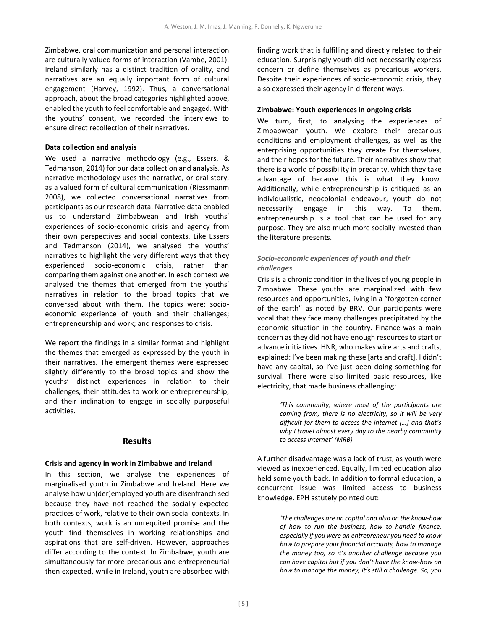Zimbabwe, oral communication and personal interaction are culturally valued forms of interaction (Vambe, 2001). Ireland similarly has a distinct tradition of orality, and narratives are an equally important form of cultural engagement (Harvey, 1992). Thus, a conversational approach, about the broad categories highlighted above, enabled the youth to feel comfortable and engaged. With the youths' consent, we recorded the interviews to ensure direct recollection of their narratives.

#### **Data collection and analysis**

We used a narrative methodology (e.g., Essers, & Tedmanson, 2014) for our data collection and analysis. As narrative methodology uses the narrative, or oral story, as a valued form of cultural communication (Riessmanm 2008), we collected conversational narratives from participants as our research data. Narrative data enabled us to understand Zimbabwean and Irish youths' experiences of socio-economic crisis and agency from their own perspectives and social contexts. Like Essers and Tedmanson (2014), we analysed the youths' narratives to highlight the very different ways that they experienced socio-economic crisis, rather than comparing them against one another. In each context we analysed the themes that emerged from the youths' narratives in relation to the broad topics that we conversed about with them. The topics were: socioeconomic experience of youth and their challenges; entrepreneurship and work; and responses to crisis**.** 

We report the findings in a similar format and highlight the themes that emerged as expressed by the youth in their narratives. The emergent themes were expressed slightly differently to the broad topics and show the youths' distinct experiences in relation to their challenges, their attitudes to work or entrepreneurship, and their inclination to engage in socially purposeful activities.

#### **Results**

#### **Crisis and agency in work in Zimbabwe and Ireland**

In this section, we analyse the experiences of marginalised youth in Zimbabwe and Ireland. Here we analyse how un(der)employed youth are disenfranchised because they have not reached the socially expected practices of work, relative to their own social contexts. In both contexts, work is an unrequited promise and the youth find themselves in working relationships and aspirations that are self-driven. However, approaches differ according to the context. In Zimbabwe, youth are simultaneously far more precarious and entrepreneurial then expected, while in Ireland, youth are absorbed with

finding work that is fulfilling and directly related to their education. Surprisingly youth did not necessarily express concern or define themselves as precarious workers. Despite their experiences of socio-economic crisis, they also expressed their agency in different ways.

### **Zimbabwe: Youth experiences in ongoing crisis**

We turn, first, to analysing the experiences of Zimbabwean youth. We explore their precarious conditions and employment challenges, as well as the enterprising opportunities they create for themselves, and their hopes for the future. Their narratives show that there is a world of possibility in precarity, which they take advantage of because this is what they know. Additionally, while entrepreneurship is critiqued as an individualistic, neocolonial endeavour, youth do not necessarily engage in this way. To them, entrepreneurship is a tool that can be used for any purpose. They are also much more socially invested than the literature presents.

## *Socio-economic experiences of youth and their challenges*

Crisis is a chronic condition in the lives of young people in Zimbabwe. These youths are marginalized with few resources and opportunities, living in a "forgotten corner of the earth" as noted by BRV. Our participants were vocal that they face many challenges precipitated by the economic situation in the country. Finance was a main concern as they did not have enough resources to start or advance initiatives. HNR, who makes wire arts and crafts, explained: I've been making these [arts and craft]. I didn't have any capital, so I've just been doing something for survival. There were also limited basic resources, like electricity, that made business challenging:

> *'This community, where most of the participants are coming from, there is no electricity, so it will be very difficult for them to access the internet […] and that's why I travel almost every day to the nearby community to access internet' (MRB)*

A further disadvantage was a lack of trust, as youth were viewed as inexperienced. Equally, limited education also held some youth back. In addition to formal education, a concurrent issue was limited access to business knowledge. EPH astutely pointed out:

> *'The challenges are on capital and also on the know-how of how to run the business, how to handle finance, especially if you were an entrepreneur you need to know how to prepare your financial accounts, how to manage the money too, so it's another challenge because you can have capital but if you don't have the know-how on how to manage the money, it's still a challenge. So, you*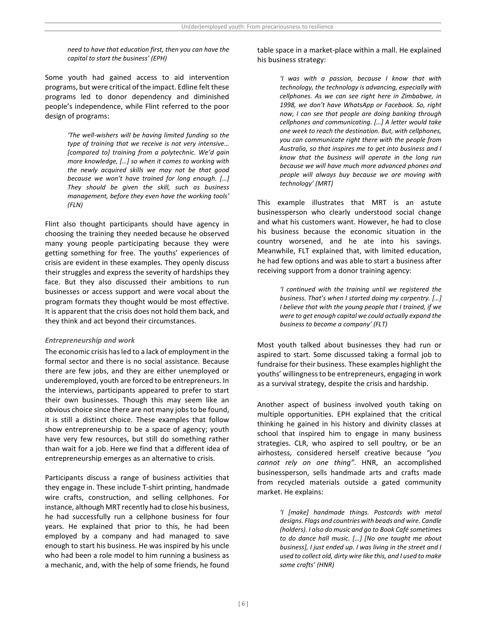*need to have that education first, then you can have the capital to start the business' (EPH)*

Some youth had gained access to aid intervention programs, but were critical of the impact. Edline felt these programs led to donor dependency and diminished people's independence, while Flint referred to the poor design of programs:

> *'The well-wishers will be having limited funding so the type of training that we receive is not very intensive… [compared to] training from a polytechnic. We'd gain more knowledge, […] so when it comes to working with the newly acquired skills we may not be that good because we won't have trained for long enough. […] They should be given the skill, such as business management, before they even have the working tools' (FLN)*

Flint also thought participants should have agency in choosing the training they needed because he observed many young people participating because they were getting something for free. The youths' experiences of crisis are evident in these examples. They openly discuss their struggles and express the severity of hardships they face. But they also discussed their ambitions to run businesses or access support and were vocal about the program formats they thought would be most effective. It is apparent that the crisis does not hold them back, and they think and act beyond their circumstances.

### *Entrepreneurship and work*

The economic crisis has led to a lack of employment in the formal sector and there is no social assistance. Because there are few jobs, and they are either unemployed or underemployed, youth are forced to be entrepreneurs. In the interviews, participants appeared to prefer to start their own businesses. Though this may seem like an obvious choice since there are not many jobs to be found, it is still a distinct choice. These examples that follow show entrepreneurship to be a space of agency; youth have very few resources, but still do something rather than wait for a job. Here we find that a different idea of entrepreneurship emerges as an alternative to crisis.

Participants discuss a range of business activities that they engage in. These include T-shirt printing, handmade wire crafts, construction, and selling cellphones. For instance, although MRT recently had to close his business, he had successfully run a cellphone business for four years. He explained that prior to this, he had been employed by a company and had managed to save enough to start his business. He was inspired by his uncle who had been a role model to him running a business as a mechanic, and, with the help of some friends, he found

table space in a market-place within a mall. He explained his business strategy:

> *'I was with a passion, because I know that with technology, the technology is advancing, especially with cellphones. As we can see right here in Zimbabwe, in 1998, we don't have WhatsApp or Facebook. So, right now, I can see that people are doing banking through cellphones and communicating. […] A letter would take one week to reach the destination. But, with cellphones, you can communicate right there with the people from Australia, so that inspires me to get into business and I know that the business will operate in the long run because we will have much more advanced phones and people will always buy because we are moving with technology' (MRT)*

This example illustrates that MRT is an astute businessperson who clearly understood social change and what his customers want. However, he had to close his business because the economic situation in the country worsened, and he ate into his savings. Meanwhile, FLT explained that, with limited education, he had few options and was able to start a business after receiving support from a donor training agency:

> *'I continued with the training until we registered the business. That's when I started doing my carpentry. […] I believe that with the young people that I trained, if we were to get enough capital we could actually expand the business to become a company' (FLT)*

Most youth talked about businesses they had run or aspired to start. Some discussed taking a formal job to fundraise for their business. These examples highlight the youths' willingness to be entrepreneurs, engaging in work as a survival strategy, despite the crisis and hardship.

Another aspect of business involved youth taking on multiple opportunities. EPH explained that the critical thinking he gained in his history and divinity classes at school that inspired him to engage in many business strategies. CLR, who aspired to sell poultry, or be an airhostess, considered herself creative because *"you cannot rely on one thing"*. HNR, an accomplished businessperson, sells handmade arts and crafts made from recycled materials outside a gated community market. He explains:

> *'I [make] handmade things. Postcards with metal designs. Flags and countries with beads and wire. Candle (holders). I also do music and go to Book Café sometimes to do dance hall music. […] [No one taught me about business], I just ended up. I was living in the street and I used to collect old, dirty wire like this, and I used to make some crafts' (HNR)*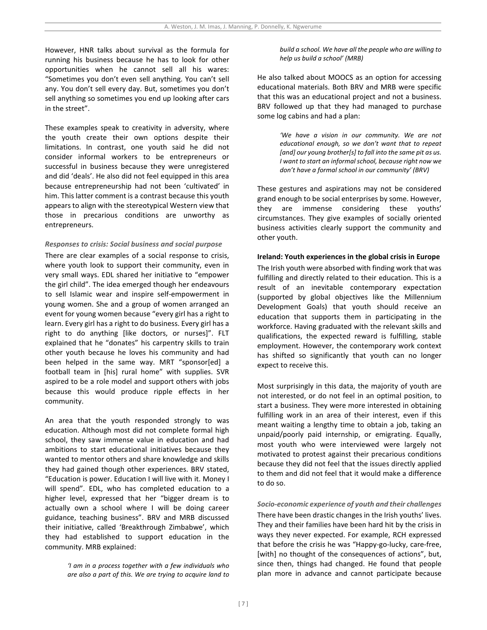However, HNR talks about survival as the formula for running his business because he has to look for other opportunities when he cannot sell all his wares: "Sometimes you don't even sell anything. You can't sell any. You don't sell every day. But, sometimes you don't sell anything so sometimes you end up looking after cars in the street".

These examples speak to creativity in adversity, where the youth create their own options despite their limitations. In contrast, one youth said he did not consider informal workers to be entrepreneurs or successful in business because they were unregistered and did 'deals'. He also did not feel equipped in this area because entrepreneurship had not been 'cultivated' in him. This latter comment is a contrast because this youth appears to align with the stereotypical Western view that those in precarious conditions are unworthy as entrepreneurs.

#### *Responses to crisis: Social business and social purpose*

There are clear examples of a social response to crisis, where youth look to support their community, even in very small ways. EDL shared her initiative to "empower the girl child". The idea emerged though her endeavours to sell Islamic wear and inspire self-empowerment in young women. She and a group of women arranged an event for young women because "every girl has a right to learn. Every girl has a right to do business. Every girl has a right to do anything [like doctors, or nurses]". FLT explained that he "donates" his carpentry skills to train other youth because he loves his community and had been helped in the same way. MRT "sponsor[ed] a football team in [his] rural home" with supplies. SVR aspired to be a role model and support others with jobs because this would produce ripple effects in her community.

An area that the youth responded strongly to was education. Although most did not complete formal high school, they saw immense value in education and had ambitions to start educational initiatives because they wanted to mentor others and share knowledge and skills they had gained though other experiences. BRV stated, "Education is power. Education I will live with it. Money I will spend". EDL, who has completed education to a higher level, expressed that her "bigger dream is to actually own a school where I will be doing career guidance, teaching business". BRV and MRB discussed their initiative, called 'Breakthrough Zimbabwe', which they had established to support education in the community. MRB explained:

> *'I am in a process together with a few individuals who are also a part of this. We are trying to acquire land to*

*build a school. We have all the people who are willing to help us build a school' (MRB)*

He also talked about MOOCS as an option for accessing educational materials. Both BRV and MRB were specific that this was an educational project and not a business. BRV followed up that they had managed to purchase some log cabins and had a plan:

> *'We have a vision in our community. We are not educational enough, so we don't want that to repeat [and] our young brother[s] to fall into the same pit as us. I want to start an informal school, because right now we don't have a formal school in our community' (BRV)*

These gestures and aspirations may not be considered grand enough to be social enterprises by some. However, they are immense considering these youths' circumstances. They give examples of socially oriented business activities clearly support the community and other youth.

#### **Ireland: Youth experiences in the global crisis in Europe**

The Irish youth were absorbed with finding work that was fulfilling and directly related to their education. This is a result of an inevitable contemporary expectation (supported by global objectives like the Millennium Development Goals) that youth should receive an education that supports them in participating in the workforce. Having graduated with the relevant skills and qualifications, the expected reward is fulfilling, stable employment. However, the contemporary work context has shifted so significantly that youth can no longer expect to receive this.

Most surprisingly in this data, the majority of youth are not interested, or do not feel in an optimal position, to start a business. They were more interested in obtaining fulfilling work in an area of their interest, even if this meant waiting a lengthy time to obtain a job, taking an unpaid/poorly paid internship, or emigrating. Equally, most youth who were interviewed were largely not motivated to protest against their precarious conditions because they did not feel that the issues directly applied to them and did not feel that it would make a difference to do so.

## *Socio-economic experience of youth and their challenges*

There have been drastic changes in the Irish youths' lives. They and their families have been hard hit by the crisis in ways they never expected. For example, RCH expressed that before the crisis he was "Happy-go-lucky, care-free, [with] no thought of the consequences of actions", but, since then, things had changed. He found that people plan more in advance and cannot participate because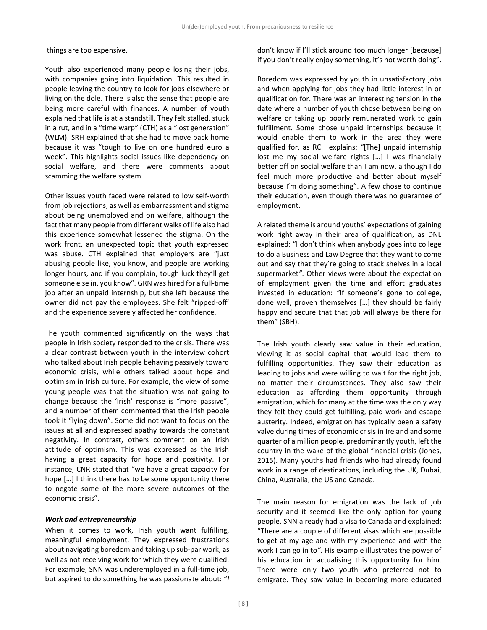things are too expensive.

Youth also experienced many people losing their jobs, with companies going into liquidation. This resulted in people leaving the country to look for jobs elsewhere or living on the dole. There is also the sense that people are being more careful with finances. A number of youth explained that life is at a standstill. They felt stalled, stuck in a rut, and in a "time warp" (CTH) as a "lost generation" (WLM). SRH explained that she had to move back home because it was "tough to live on one hundred euro a week". This highlights social issues like dependency on social welfare, and there were comments about scamming the welfare system.

Other issues youth faced were related to low self-worth from job rejections, as well as embarrassment and stigma about being unemployed and on welfare, although the fact that many people from different walks of life also had this experience somewhat lessened the stigma. On the work front, an unexpected topic that youth expressed was abuse. CTH explained that employers are "just abusing people like, you know, and people are working longer hours, and if you complain, tough luck they'll get someone else in, you know"*.* GRN was hired for a full-time job after an unpaid internship, but she left because the owner did not pay the employees. She felt "ripped-off' and the experience severely affected her confidence.

The youth commented significantly on the ways that people in Irish society responded to the crisis. There was a clear contrast between youth in the interview cohort who talked about Irish people behaving passively toward economic crisis, while others talked about hope and optimism in Irish culture. For example, the view of some young people was that the situation was not going to change because the 'Irish' response is "more passive", and a number of them commented that the Irish people took it "lying down". Some did not want to focus on the issues at all and expressed apathy towards the constant negativity. In contrast, others comment on an Irish attitude of optimism. This was expressed as the Irish having a great capacity for hope and positivity. For instance, CNR stated that "we have a great capacity for hope […] I think there has to be some opportunity there to negate some of the more severe outcomes of the economic crisis".

#### *Work and entrepreneurship*

When it comes to work, Irish youth want fulfilling, meaningful employment. They expressed frustrations about navigating boredom and taking up sub-par work, as well as not receiving work for which they were qualified. For example, SNN was underemployed in a full-time job, but aspired to do something he was passionate about: "*I*  don't know if I'll stick around too much longer [because] if you don't really enjoy something, it's not worth doing".

Boredom was expressed by youth in unsatisfactory jobs and when applying for jobs they had little interest in or qualification for. There was an interesting tension in the date where a number of youth chose between being on welfare or taking up poorly remunerated work to gain fulfillment. Some chose unpaid internships because it would enable them to work in the area they were qualified for, as RCH explains: *"*[The] unpaid internship lost me my social welfare rights […] I was financially better off on social welfare than I am now, although I do feel much more productive and better about myself because I'm doing something". A few chose to continue their education, even though there was no guarantee of employment.

A related theme is around youths' expectations of gaining work right away in their area of qualification, as DNL explained: "I don't think when anybody goes into college to do a Business and Law Degree that they want to come out and say that they're going to stack shelves in a local supermarket*"*. Other views were about the expectation of employment given the time and effort graduates invested in education: *"*If someone's gone to college, done well, proven themselves […] they should be fairly happy and secure that that job will always be there for them" (SBH).

The Irish youth clearly saw value in their education, viewing it as social capital that would lead them to fulfilling opportunities. They saw their education as leading to jobs and were willing to wait for the right job, no matter their circumstances. They also saw their education as affording them opportunity through emigration, which for many at the time was the only way they felt they could get fulfilling, paid work and escape austerity. Indeed, emigration has typically been a safety valve during times of economic crisis in Ireland and some quarter of a million people, predominantly youth, left the country in the wake of the global financial crisis (Jones, 2015). Many youths had friends who had already found work in a range of destinations, including the UK, Dubai, China, Australia, the US and Canada.

The main reason for emigration was the lack of job security and it seemed like the only option for young people. SNN already had a visa to Canada and explained: "There are a couple of different visas which are possible to get at my age and with my experience and with the work I can go in to*"*. His example illustrates the power of his education in actualising this opportunity for him. There were only two youth who preferred not to emigrate. They saw value in becoming more educated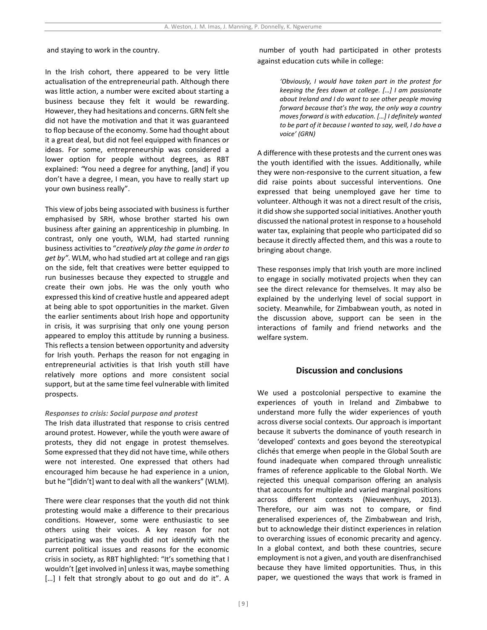and staying to work in the country.

In the Irish cohort, there appeared to be very little actualisation of the entrepreneurial path. Although there was little action, a number were excited about starting a business because they felt it would be rewarding. However, they had hesitations and concerns. GRN felt she did not have the motivation and that it was guaranteed to flop because of the economy. Some had thought about it a great deal, but did not feel equipped with finances or ideas. For some, entrepreneurship was considered a lower option for people without degrees, as RBT explained: *"*You need a degree for anything, [and] if you don't have a degree, I mean, you have to really start up your own business really".

This view of jobs being associated with business is further emphasised by SRH, whose brother started his own business after gaining an apprenticeship in plumbing. In contrast, only one youth, WLM, had started running business activities to "*creatively play the game in order to get by"*. WLM, who had studied art at college and ran gigs on the side, felt that creatives were better equipped to run businesses because they expected to struggle and create their own jobs. He was the only youth who expressed this kind of creative hustle and appeared adept at being able to spot opportunities in the market. Given the earlier sentiments about Irish hope and opportunity in crisis, it was surprising that only one young person appeared to employ this attitude by running a business. This reflects a tension between opportunity and adversity for Irish youth. Perhaps the reason for not engaging in entrepreneurial activities is that Irish youth still have relatively more options and more consistent social support, but at the same time feel vulnerable with limited prospects.

#### *Responses to crisis: Social purpose and protest*

The Irish data illustrated that response to crisis centred around protest. However, while the youth were aware of protests, they did not engage in protest themselves. Some expressed that they did not have time, while others were not interested. One expressed that others had encouraged him because he had experience in a union, but he "[didn't] want to deal with all the wankers" (WLM).

There were clear responses that the youth did not think protesting would make a difference to their precarious conditions. However, some were enthusiastic to see others using their voices. A key reason for not participating was the youth did not identify with the current political issues and reasons for the economic crisis in society, as RBT highlighted: "It's something that I wouldn't [get involved in] unless it was, maybe something [...] I felt that strongly about to go out and do it". A

number of youth had participated in other protests against education cuts while in college:

> *'Obviously, I would have taken part in the protest for keeping the fees down at college. […] I am passionate about Ireland and I do want to see other people moving forward because that's the way, the only way a country moves forward is with education. […] I definitely wanted to be part of it because I wanted to say, well, I do have a voice' (GRN)*

A difference with these protests and the current ones was the youth identified with the issues. Additionally, while they were non-responsive to the current situation, a few did raise points about successful interventions. One expressed that being unemployed gave her time to volunteer. Although it was not a direct result of the crisis, it did show she supported social initiatives. Another youth discussed the national protest in response to a household water tax, explaining that people who participated did so because it directly affected them, and this was a route to bringing about change.

These responses imply that Irish youth are more inclined to engage in socially motivated projects when they can see the direct relevance for themselves. It may also be explained by the underlying level of social support in society. Meanwhile, for Zimbabwean youth, as noted in the discussion above, support can be seen in the interactions of family and friend networks and the welfare system.

### **Discussion and conclusions**

We used a postcolonial perspective to examine the experiences of youth in Ireland and Zimbabwe to understand more fully the wider experiences of youth across diverse social contexts. Our approach is important because it subverts the dominance of youth research in 'developed' contexts and goes beyond the stereotypical clichés that emerge when people in the Global South are found inadequate when compared through unrealistic frames of reference applicable to the Global North. We rejected this unequal comparison offering an analysis that accounts for multiple and varied marginal positions across different contexts (Nieuwenhuys, 2013). Therefore, our aim was not to compare, or find generalised experiences of, the Zimbabwean and Irish, but to acknowledge their distinct experiences in relation to overarching issues of economic precarity and agency. In a global context, and both these countries, secure employment is not a given, and youth are disenfranchised because they have limited opportunities. Thus, in this paper, we questioned the ways that work is framed in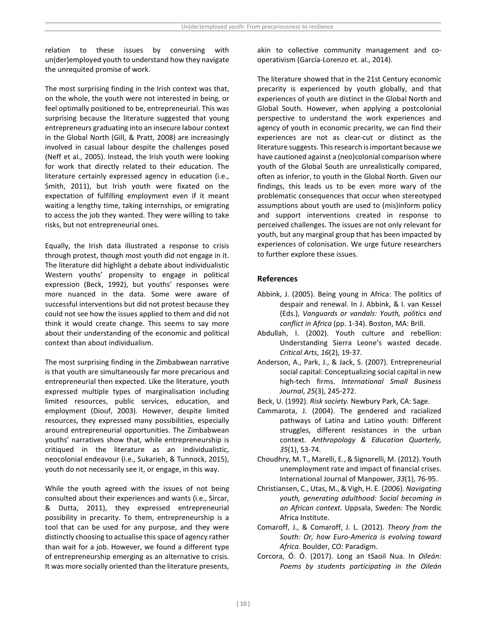relation to these issues by conversing with un(der)employed youth to understand how they navigate the unrequited promise of work.

The most surprising finding in the Irish context was that, on the whole, the youth were not interested in being, or feel optimally positioned to be, entrepreneurial. This was surprising because the literature suggested that young entrepreneurs graduating into an insecure labour context in the Global North (Gill, & Pratt, 2008) are increasingly involved in casual labour despite the challenges posed (Neff et al., 2005). Instead, the Irish youth were looking for work that directly related to their education. The literature certainly expressed agency in education (i.e., Smith, 2011), but Irish youth were fixated on the expectation of fulfilling employment even if it meant waiting a lengthy time, taking internships, or emigrating to access the job they wanted. They were willing to take risks, but not entrepreneurial ones.

Equally, the Irish data illustrated a response to crisis through protest, though most youth did not engage in it. The literature did highlight a debate about individualistic Western youths' propensity to engage in political expression (Beck, 1992), but youths' responses were more nuanced in the data. Some were aware of successful interventions but did not protest because they could not see how the issues applied to them and did not think it would create change. This seems to say more about their understanding of the economic and political context than about individualism.

The most surprising finding in the Zimbabwean narrative is that youth are simultaneously far more precarious and entrepreneurial then expected. Like the literature, youth expressed multiple types of marginalisation including limited resources, public services, education, and employment (Diouf, 2003). However, despite limited resources, they expressed many possibilities, especially around entrepreneurial opportunities. The Zimbabwean youths' narratives show that, while entrepreneurship is critiqued in the literature as an individualistic, neocolonial endeavour (i.e., Sukarieh, & Tunnock, 2015), youth do not necessarily see it, or engage, in this way.

While the youth agreed with the issues of not being consulted about their experiences and wants (i.e., Sircar, & Dutta, 2011), they expressed entrepreneurial possibility in precarity. To them, entrepreneurship is a tool that can be used for any purpose, and they were distinctly choosing to actualise this space of agency rather than wait for a job. However, we found a different type of entrepreneurship emerging as an alternative to crisis. It was more socially oriented than the literature presents,

akin to collective community management and cooperativism (García-Lorenzo et. al., 2014).

The literature showed that in the 21st Century economic precarity is experienced by youth globally, and that experiences of youth are distinct in the Global North and Global South. However, when applying a postcolonial perspective to understand the work experiences and agency of youth in economic precarity, we can find their experiences are not as clear-cut or distinct as the literature suggests. This research is important because we have cautioned against a (neo)colonial comparison where youth of the Global South are unrealistically compared, often as inferior, to youth in the Global North. Given our findings, this leads us to be even more wary of the problematic consequences that occur when stereotyped assumptions about youth are used to (mis)inform policy and support interventions created in response to perceived challenges. The issues are not only relevant for youth, but any marginal group that has been impacted by experiences of colonisation. We urge future researchers to further explore these issues.

# **References**

- Abbink, J. (2005). Being young in Africa: The politics of despair and renewal. In J. Abbink, & I. van Kessel (Eds.), *Vanguards or vandals: Youth, politics and conflict in Africa* (pp. 1-34). Boston, MA: Brill.
- Abdullah, I. (2002). Youth culture and rebellion: Understanding Sierra Leone's wasted decade. *Critical Arts*, *16*(2), 19-37.
- Anderson, A., Park, J., & Jack, S. (2007). Entrepreneurial social capital: Conceptualizing social capital in new high-tech firms. *International Small Business Journal*, *25*(3), 245-272.
- Beck, U. (1992). *Risk society*. Newbury Park, CA: Sage.
- Cammarota, J. (2004). The gendered and racialized pathways of Latina and Latino youth: Different struggles, different resistances in the urban context. *Anthropology & Education Quarterly, 35*(1), 53-74.
- Choudhry, M. T., Marelli, E., & Signorelli, M. (2012). Youth unemployment rate and impact of financial crises. International Journal of Manpower, *33*(1), 76-95.
- Christiansen, C., Utas, M., & Vigh, H. E. (2006). *Navigating youth, generating adulthood: Social becoming in an African context.* Uppsala, Sweden: The Nordic Africa Institute.
- Comaroff, J., & Comaroff, J. L. (2012). *Theory from the South: Or, how Euro-America is evolving toward Africa*. Boulder, CO: Paradigm.
- Corcora, Ó. Ó. (2017). Long an tSaoil Nua. In *Oileán: Poems by students participating in the Oileán*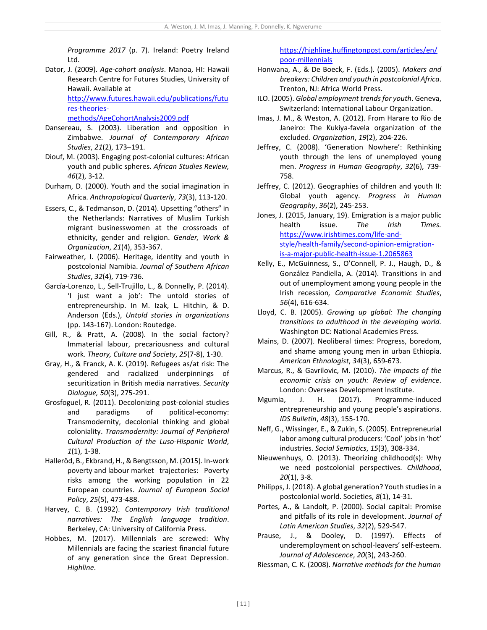*Programme 2017* (p. 7). Ireland: Poetry Ireland Ltd.

Dator, J. (2009). *Age-cohort analysis*. Manoa, HI: Hawaii Research Centre for Futures Studies, University of Hawaii. Available at

[http://www.futures.hawaii.edu/publications/futu](http://www.futures.hawaii.edu/publications/futures-theories-methods/AgeCohortAnalysis2009.pdf) [res-theories-](http://www.futures.hawaii.edu/publications/futures-theories-methods/AgeCohortAnalysis2009.pdf)

[methods/AgeCohortAnalysis2009.pdf](http://www.futures.hawaii.edu/publications/futures-theories-methods/AgeCohortAnalysis2009.pdf)

- Dansereau, S. (2003). Liberation and opposition in Zimbabwe. *Journal of Contemporary African Studies*, *21*(2), 173–191.
- Diouf, M. (2003). Engaging post-colonial cultures: African youth and public spheres. *African Studies Review, 46*(2), 3-12.
- Durham, D. (2000). Youth and the social imagination in Africa. *Anthropological Quarterly*, *73*(3), 113-120.
- Essers, C., & Tedmanson, D. (2014). Upsetting "others" in the Netherlands: Narratives of Muslim Turkish migrant businesswomen at the crossroads of ethnicity, gender and religion. *Gender, Work & Organization*, *21*(4), 353-367.
- Fairweather, I. (2006). Heritage, identity and youth in postcolonial Namibia. *Journal of Southern African Studies*, *32*(4), 719-736.
- García-Lorenzo, L., Sell-Trujillo, L., & Donnelly, P. (2014). 'I just want a job': The untold stories of entrepreneurship. In M. Izak, L. Hitchin, & D. Anderson (Eds.), *Untold stories in organizations* (pp. 143-167). London: Routedge.
- Gill, R., & Pratt, A. (2008). In the social factory? Immaterial labour, precariousness and cultural work. *Theory, Culture and Society*, *25*(7-8), 1-30.
- Gray, H., & Franck, A. K. (2019). Refugees as/at risk: The gendered and racialized underpinnings of securitization in British media narratives. *Security Dialogue, 50*(3), 275-291.
- Grosfoguel, R. (2011). Decolonizing post-colonial studies and paradigms of political-economy: Transmodernity, decolonial thinking and global coloniality. *Transmodernity: Journal of Peripheral Cultural Production of the Luso-Hispanic World*, *1*(1), 1-38.
- Halleröd, B., Ekbrand, H., & Bengtsson, M. (2015). In-work poverty and labour market trajectories: Poverty risks among the working population in 22 European countries. *Journal of European Social Policy*, *25*(5), 473-488.
- Harvey, C. B. (1992). *Contemporary Irish traditional narratives: The English language tradition*. Berkeley, CA: University of California Press.
- Hobbes, M. (2017). Millennials are screwed: Why Millennials are facing the scariest financial future of any generation since the Great Depression. *Highline*.

[https://highline.huffingtonpost.com/articles/en/](https://highline.huffingtonpost.com/articles/en/poor-millennials) [poor-millennials](https://highline.huffingtonpost.com/articles/en/poor-millennials)

- Honwana, A., & De Boeck, F. (Eds.). (2005). *Makers and breakers: Children and youth in postcolonial Africa*. Trenton, NJ: Africa World Press.
- ILO. (2005). *Global employment trends for youth*. Geneva, Switzerland: International Labour Organization.
- Imas, J. M., & Weston, A. (2012). From Harare to Rio de Janeiro: The Kukiya-favela organization of the excluded. *Organization*, *19*(2), 204-226.
- Jeffrey, C. (2008). 'Generation Nowhere': Rethinking youth through the lens of unemployed young men. *Progress in Human Geography*, *32*(6), 739- 758.
- Jeffrey, C. (2012). Geographies of children and youth II: Global youth agency. *Progress in Human Geography*, *36*(2), 245-253.
- Jones, J. (2015, January, 19). Emigration is a major public health issue. *The Irish Times.*  [https://www.irishtimes.com/life-and](https://www.irishtimes.com/life-and-style/health-family/second-opinion-emigration-is-a-major-public-health-issue-1.2065863)[style/health-family/second-opinion-emigration](https://www.irishtimes.com/life-and-style/health-family/second-opinion-emigration-is-a-major-public-health-issue-1.2065863)[is-a-major-public-health-issue-1.2065863](https://www.irishtimes.com/life-and-style/health-family/second-opinion-emigration-is-a-major-public-health-issue-1.2065863)
- Kelly, E., McGuinness, S., O'Connell, P. J., Haugh, D., & González Pandiella, A. (2014). Transitions in and out of unemployment among young people in the Irish recession*, Comparative Economic Studies*, *56*(4), 616-634.
- Lloyd, C. B. (2005). *Growing up global: The changing transitions to adulthood in the developing world.*  Washington DC: National Academies Press.
- Mains, D. (2007). Neoliberal times: Progress, boredom, and shame among young men in urban Ethiopia. *American Ethnologist*, *34*(3), 659-673.
- Marcus, R., & Gavrilovic, M. (2010). *The impacts of the economic crisis on youth: Review of evidence*. London: Overseas Development Institute.
- Mgumia, J. H. (2017). Programme-induced entrepreneurship and young people's aspirations. *IDS Bulletin*, *48*(3), 155-170.
- Neff, G., Wissinger, E., & Zukin, S. (2005). Entrepreneurial labor among cultural producers: 'Cool' jobs in 'hot' industries. *Social Semiotics*, *15*(3), 308-334.
- Nieuwenhuys, O. (2013). Theorizing childhood(s): Why we need postcolonial perspectives. *Childhood*, *20*(1), 3-8.
- Philipps, J. (2018). A global generation? Youth studies in a postcolonial world. Societies, *8*(1), 14-31.
- Portes, A., & Landolt, P. (2000). Social capital: Promise and pitfalls of its role in development. *Journal of Latin American Studies*, *32*(2), 529-547.
- Prause, J., & Dooley, D. (1997). Effects of underemployment on school-leavers' self-esteem. *Journal of Adolescence*, *20*(3), 243-260.

Riessman, C. K. (2008). *Narrative methods for the human*